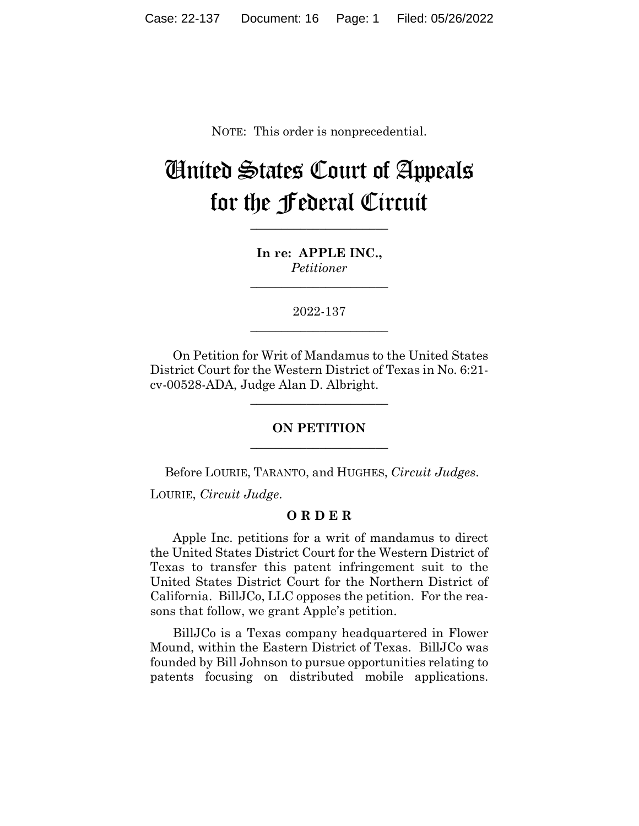NOTE: This order is nonprecedential.

# United States Court of Appeals for the Federal Circuit

**\_\_\_\_\_\_\_\_\_\_\_\_\_\_\_\_\_\_\_\_\_\_**

**In re: APPLE INC.,** *Petitioner*

**\_\_\_\_\_\_\_\_\_\_\_\_\_\_\_\_\_\_\_\_\_\_**

2022-137 **\_\_\_\_\_\_\_\_\_\_\_\_\_\_\_\_\_\_\_\_\_\_**

On Petition for Writ of Mandamus to the United States District Court for the Western District of Texas in No. 6:21 cv-00528-ADA, Judge Alan D. Albright.

**\_\_\_\_\_\_\_\_\_\_\_\_\_\_\_\_\_\_\_\_\_\_**

## **ON PETITION \_\_\_\_\_\_\_\_\_\_\_\_\_\_\_\_\_\_\_\_\_\_**

Before LOURIE, TARANTO, and HUGHES, *Circuit Judges*.

LOURIE, *Circuit Judge*.

## **O R D E R**

Apple Inc. petitions for a writ of mandamus to direct the United States District Court for the Western District of Texas to transfer this patent infringement suit to the United States District Court for the Northern District of California. BillJCo, LLC opposes the petition. For the reasons that follow, we grant Apple's petition.

BillJCo is a Texas company headquartered in Flower Mound, within the Eastern District of Texas. BillJCo was founded by Bill Johnson to pursue opportunities relating to patents focusing on distributed mobile applications.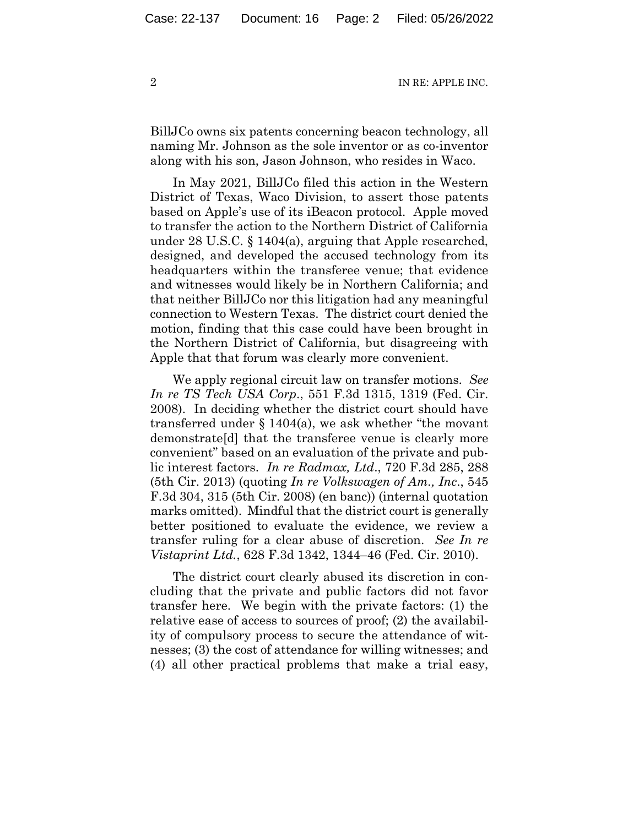BillJCo owns six patents concerning beacon technology, all naming Mr. Johnson as the sole inventor or as co-inventor along with his son, Jason Johnson, who resides in Waco.

In May 2021, BillJCo filed this action in the Western District of Texas, Waco Division, to assert those patents based on Apple's use of its iBeacon protocol. Apple moved to transfer the action to the Northern District of California under 28 U.S.C. § 1404(a), arguing that Apple researched, designed, and developed the accused technology from its headquarters within the transferee venue; that evidence and witnesses would likely be in Northern California; and that neither BillJCo nor this litigation had any meaningful connection to Western Texas. The district court denied the motion, finding that this case could have been brought in the Northern District of California, but disagreeing with Apple that that forum was clearly more convenient.

We apply regional circuit law on transfer motions. *See In re TS Tech USA Corp*., 551 F.3d 1315, 1319 (Fed. Cir. 2008). In deciding whether the district court should have transferred under  $\S 1404(a)$ , we ask whether "the movant" demonstrate[d] that the transferee venue is clearly more convenient" based on an evaluation of the private and public interest factors. *In re Radmax, Ltd*., 720 F.3d 285, 288 (5th Cir. 2013) (quoting *In re Volkswagen of Am., Inc*., 545 F.3d 304, 315 (5th Cir. 2008) (en banc)) (internal quotation marks omitted). Mindful that the district court is generally better positioned to evaluate the evidence, we review a transfer ruling for a clear abuse of discretion. *See In re Vistaprint Ltd.*, 628 F.3d 1342, 1344–46 (Fed. Cir. 2010).

The district court clearly abused its discretion in concluding that the private and public factors did not favor transfer here. We begin with the private factors: (1) the relative ease of access to sources of proof; (2) the availability of compulsory process to secure the attendance of witnesses; (3) the cost of attendance for willing witnesses; and (4) all other practical problems that make a trial easy,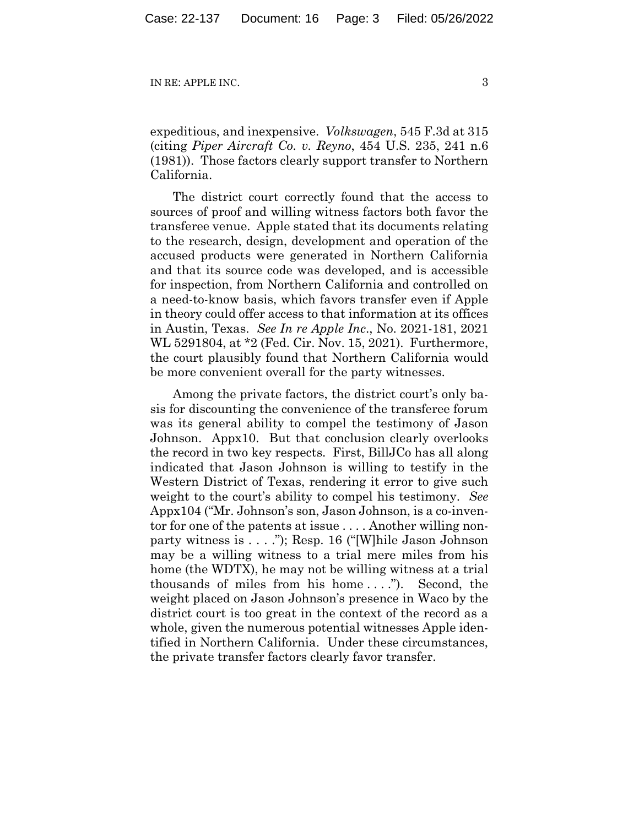expeditious, and inexpensive. *Volkswagen*, 545 F.3d at 315 (citing *Piper Aircraft Co. v. Reyno*, 454 U.S. 235, 241 n.6 (1981)). Those factors clearly support transfer to Northern California.

The district court correctly found that the access to sources of proof and willing witness factors both favor the transferee venue. Apple stated that its documents relating to the research, design, development and operation of the accused products were generated in Northern California and that its source code was developed, and is accessible for inspection, from Northern California and controlled on a need-to-know basis, which favors transfer even if Apple in theory could offer access to that information at its offices in Austin, Texas. *See In re Apple Inc*., No. 2021-181, 2021 WL 5291804, at \*2 (Fed. Cir. Nov. 15, 2021). Furthermore, the court plausibly found that Northern California would be more convenient overall for the party witnesses.

Among the private factors, the district court's only basis for discounting the convenience of the transferee forum was its general ability to compel the testimony of Jason Johnson. Appx10. But that conclusion clearly overlooks the record in two key respects. First, BillJCo has all along indicated that Jason Johnson is willing to testify in the Western District of Texas, rendering it error to give such weight to the court's ability to compel his testimony. *See*  Appx104 ("Mr. Johnson's son, Jason Johnson, is a co-inventor for one of the patents at issue . . . . Another willing nonparty witness is . . . ."); Resp. 16 ("[W]hile Jason Johnson may be a willing witness to a trial mere miles from his home (the WDTX), he may not be willing witness at a trial thousands of miles from his home . . . ."). Second, the weight placed on Jason Johnson's presence in Waco by the district court is too great in the context of the record as a whole, given the numerous potential witnesses Apple identified in Northern California. Under these circumstances, the private transfer factors clearly favor transfer.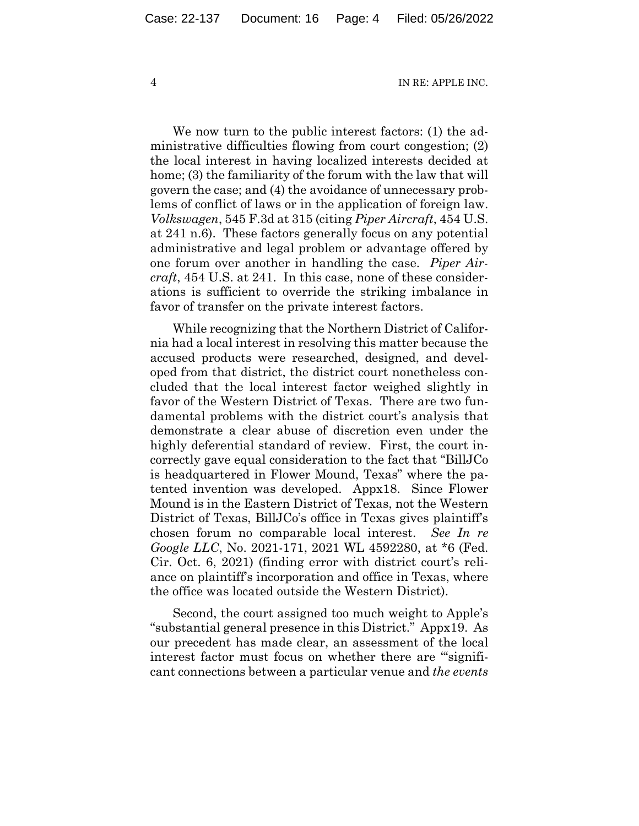We now turn to the public interest factors: (1) the administrative difficulties flowing from court congestion; (2) the local interest in having localized interests decided at home; (3) the familiarity of the forum with the law that will govern the case; and (4) the avoidance of unnecessary problems of conflict of laws or in the application of foreign law. *Volkswagen*, 545 F.3d at 315 (citing *Piper Aircraft*, 454 U.S. at 241 n.6). These factors generally focus on any potential administrative and legal problem or advantage offered by one forum over another in handling the case. *Piper Aircraft*, 454 U.S. at 241. In this case, none of these considerations is sufficient to override the striking imbalance in favor of transfer on the private interest factors.

While recognizing that the Northern District of California had a local interest in resolving this matter because the accused products were researched, designed, and developed from that district, the district court nonetheless concluded that the local interest factor weighed slightly in favor of the Western District of Texas. There are two fundamental problems with the district court's analysis that demonstrate a clear abuse of discretion even under the highly deferential standard of review. First, the court incorrectly gave equal consideration to the fact that "BillJCo is headquartered in Flower Mound, Texas" where the patented invention was developed. Appx18. Since Flower Mound is in the Eastern District of Texas, not the Western District of Texas, BillJCo's office in Texas gives plaintiff's chosen forum no comparable local interest. *See In re Google LLC*, No. 2021-171, 2021 WL 4592280, at \*6 (Fed. Cir. Oct. 6, 2021) (finding error with district court's reliance on plaintiff's incorporation and office in Texas, where the office was located outside the Western District).

Second, the court assigned too much weight to Apple's "substantial general presence in this District." Appx19. As our precedent has made clear, an assessment of the local interest factor must focus on whether there are "'significant connections between a particular venue and *the events*